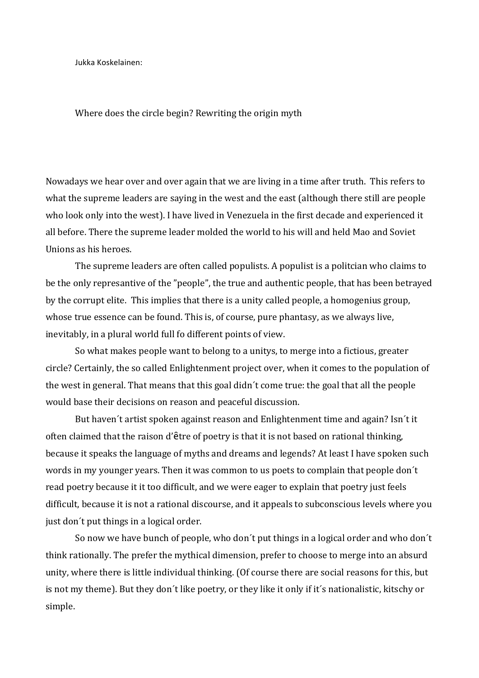Jukka Koskelainen:

Where does the circle begin? Rewriting the origin myth

Nowadays we hear over and over again that we are living in a time after truth. This refers to what the supreme leaders are saying in the west and the east (although there still are people who look only into the west). I have lived in Venezuela in the first decade and experienced it all before. There the supreme leader molded the world to his will and held Mao and Soviet Unions as his heroes.

The supreme leaders are often called populists. A populist is a politcian who claims to be the only represantive of the "people", the true and authentic people, that has been betrayed by the corrupt elite. This implies that there is a unity called people, a homogenius group, whose true essence can be found. This is, of course, pure phantasy, as we always live, inevitably, in a plural world full fo different points of view.

So what makes people want to belong to a unitys, to merge into a fictious, greater circle? Certainly, the so called Enlightenment project over, when it comes to the population of the west in general. That means that this goal didn't come true: the goal that all the people would base their decisions on reason and peaceful discussion.

But haven't artist spoken against reason and Enlightenment time and again? Isn't it often claimed that the raison d'être of poetry is that it is not based on rational thinking, because it speaks the language of myths and dreams and legends? At least I have spoken such words in my younger years. Then it was common to us poets to complain that people don't read poetry because it it too difficult, and we were eager to explain that poetry just feels difficult, because it is not a rational discourse, and it appeals to subconscious levels where you just don't put things in a logical order.

So now we have bunch of people, who don't put things in a logical order and who don't think rationally. The prefer the mythical dimension, prefer to choose to merge into an absurd unity, where there is little individual thinking. (Of course there are social reasons for this, but is not my theme). But they don't like poetry, or they like it only if it's nationalistic, kitschy or simple.